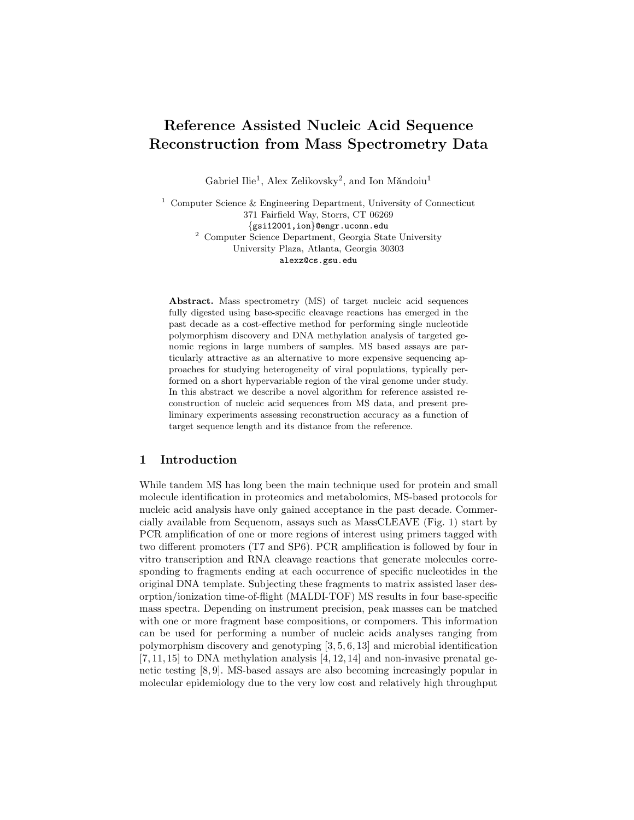# Reference Assisted Nucleic Acid Sequence Reconstruction from Mass Spectrometry Data

Gabriel Ilie<sup>1</sup>, Alex Zelikovsky<sup>2</sup>, and Ion Măndoiu<sup>1</sup>

<sup>1</sup> Computer Science & Engineering Department, University of Connecticut 371 Fairfield Way, Storrs, CT 06269 {gsi12001,ion}@engr.uconn.edu <sup>2</sup> Computer Science Department, Georgia State University University Plaza, Atlanta, Georgia 30303 alexz@cs.gsu.edu

Abstract. Mass spectrometry (MS) of target nucleic acid sequences fully digested using base-specific cleavage reactions has emerged in the past decade as a cost-effective method for performing single nucleotide polymorphism discovery and DNA methylation analysis of targeted genomic regions in large numbers of samples. MS based assays are particularly attractive as an alternative to more expensive sequencing approaches for studying heterogeneity of viral populations, typically performed on a short hypervariable region of the viral genome under study. In this abstract we describe a novel algorithm for reference assisted reconstruction of nucleic acid sequences from MS data, and present preliminary experiments assessing reconstruction accuracy as a function of target sequence length and its distance from the reference.

## 1 Introduction

While tandem MS has long been the main technique used for protein and small molecule identification in proteomics and metabolomics, MS-based protocols for nucleic acid analysis have only gained acceptance in the past decade. Commercially available from Sequenom, assays such as MassCLEAVE (Fig. 1) start by PCR amplification of one or more regions of interest using primers tagged with two different promoters (T7 and SP6). PCR amplification is followed by four in vitro transcription and RNA cleavage reactions that generate molecules corresponding to fragments ending at each occurrence of specific nucleotides in the original DNA template. Subjecting these fragments to matrix assisted laser desorption/ionization time-of-flight (MALDI-TOF) MS results in four base-specific mass spectra. Depending on instrument precision, peak masses can be matched with one or more fragment base compositions, or compomers. This information can be used for performing a number of nucleic acids analyses ranging from polymorphism discovery and genotyping [3, 5, 6, 13] and microbial identification  $[7, 11, 15]$  to DNA methylation analysis  $[4, 12, 14]$  and non-invasive prenatal genetic testing [8, 9]. MS-based assays are also becoming increasingly popular in molecular epidemiology due to the very low cost and relatively high throughput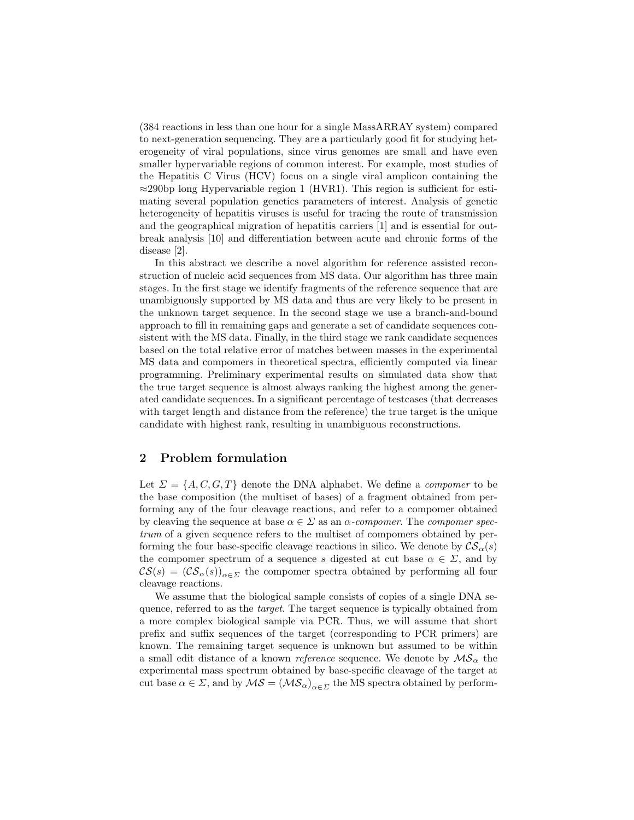(384 reactions in less than one hour for a single MassARRAY system) compared to next-generation sequencing. They are a particularly good fit for studying heterogeneity of viral populations, since virus genomes are small and have even smaller hypervariable regions of common interest. For example, most studies of the Hepatitis C Virus (HCV) focus on a single viral amplicon containing the  $\approx$ 290bp long Hypervariable region 1 (HVR1). This region is sufficient for estimating several population genetics parameters of interest. Analysis of genetic heterogeneity of hepatitis viruses is useful for tracing the route of transmission and the geographical migration of hepatitis carriers [1] and is essential for outbreak analysis [10] and differentiation between acute and chronic forms of the disease [2].

In this abstract we describe a novel algorithm for reference assisted reconstruction of nucleic acid sequences from MS data. Our algorithm has three main stages. In the first stage we identify fragments of the reference sequence that are unambiguously supported by MS data and thus are very likely to be present in the unknown target sequence. In the second stage we use a branch-and-bound approach to fill in remaining gaps and generate a set of candidate sequences consistent with the MS data. Finally, in the third stage we rank candidate sequences based on the total relative error of matches between masses in the experimental MS data and compomers in theoretical spectra, efficiently computed via linear programming. Preliminary experimental results on simulated data show that the true target sequence is almost always ranking the highest among the generated candidate sequences. In a significant percentage of testcases (that decreases with target length and distance from the reference) the true target is the unique candidate with highest rank, resulting in unambiguous reconstructions.

## 2 Problem formulation

Let  $\Sigma = \{A, C, G, T\}$  denote the DNA alphabet. We define a *compomer* to be the base composition (the multiset of bases) of a fragment obtained from performing any of the four cleavage reactions, and refer to a compomer obtained by cleaving the sequence at base  $\alpha \in \Sigma$  as an  $\alpha$ -compomer. The compomer spectrum of a given sequence refers to the multiset of compomers obtained by performing the four base-specific cleavage reactions in silico. We denote by  $\mathcal{CS}_{\alpha}(s)$ the compomer spectrum of a sequence s digested at cut base  $\alpha \in \Sigma$ , and by  $CS(s) = (CS_{\alpha}(s))_{\alpha \in \Sigma}$  the compomer spectra obtained by performing all four cleavage reactions.

We assume that the biological sample consists of copies of a single DNA sequence, referred to as the target. The target sequence is typically obtained from a more complex biological sample via PCR. Thus, we will assume that short prefix and suffix sequences of the target (corresponding to PCR primers) are known. The remaining target sequence is unknown but assumed to be within a small edit distance of a known *reference* sequence. We denote by  $\mathcal{MS}_{\alpha}$  the experimental mass spectrum obtained by base-specific cleavage of the target at cut base  $\alpha \in \Sigma$ , and by  $\mathcal{MS} = (\mathcal{MS}_{\alpha})_{\alpha \in \Sigma}$  the MS spectra obtained by perform-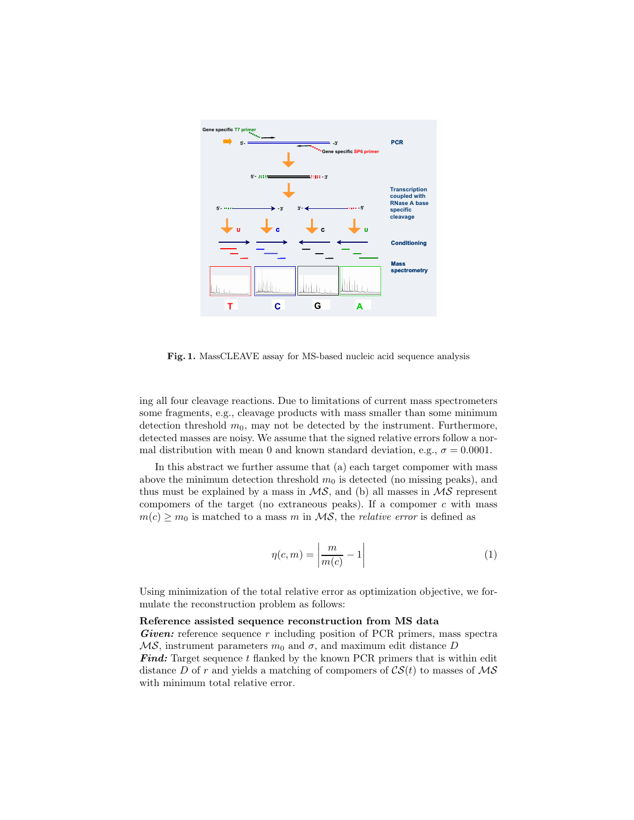

Fig. 1. MassCLEAVE assay for MS-based nucleic acid sequence analysis

ing all four cleavage reactions. Due to limitations of current mass spectrometers some fragments, e.g., cleavage products with mass smaller than some minimum detection threshold  $m_0$ , may not be detected by the instrument. Furthermore, detected masses are noisy. We assume that the signed relative errors follow a normal distribution with mean 0 and known standard deviation, e.g.,  $\sigma = 0.0001$ .

In this abstract we further assume that (a) each target compomer with mass above the minimum detection threshold  $m_0$  is detected (no missing peaks), and thus must be explained by a mass in  $\mathcal{MS}$ , and (b) all masses in  $\mathcal{MS}$  represent compomers of the target (no extraneous peaks). If a compomer  $c$  with mass  $m(c) \geq m_0$  is matched to a mass m in  $\mathcal{MS}$ , the *relative error* is defined as

$$
\eta(c,m) = \left| \frac{m}{m(c)} - 1 \right| \tag{1}
$$

Using minimization of the total relative error as optimization objective, we formulate the reconstruction problem as follows:

#### Reference assisted sequence reconstruction from MS data

Given: reference sequence r including position of PCR primers, mass spectra  $MS$ , instrument parameters  $m_0$  and  $\sigma$ , and maximum edit distance D

**Find:** Target sequence t flanked by the known PCR primers that is within edit distance D of r and yields a matching of compomers of  $CS(t)$  to masses of  $\mathcal{MS}$ with minimum total relative error.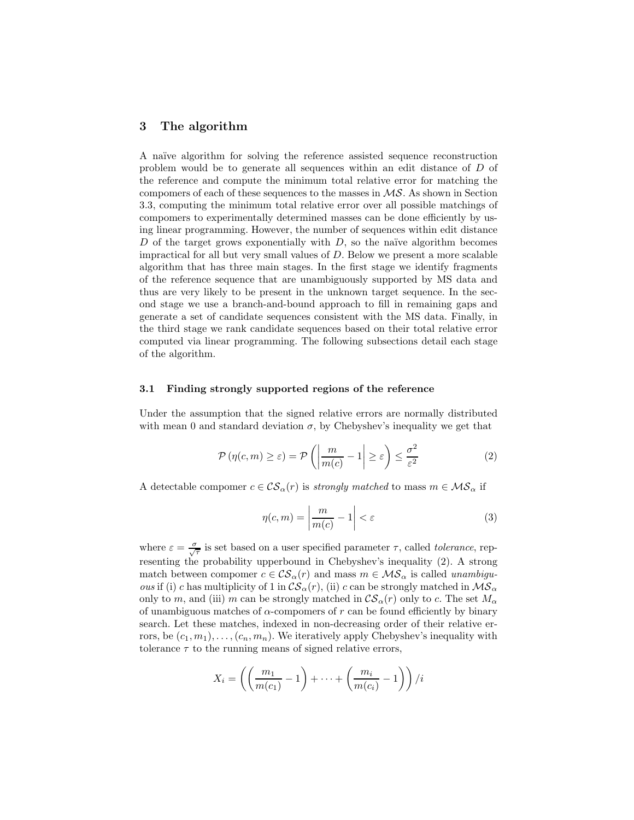## 3 The algorithm

A na¨ıve algorithm for solving the reference assisted sequence reconstruction problem would be to generate all sequences within an edit distance of D of the reference and compute the minimum total relative error for matching the compomers of each of these sequences to the masses in  $\mathcal{MS}$ . As shown in Section 3.3, computing the minimum total relative error over all possible matchings of compomers to experimentally determined masses can be done efficiently by using linear programming. However, the number of sequences within edit distance  $D$  of the target grows exponentially with  $D$ , so the naïve algorithm becomes impractical for all but very small values of D. Below we present a more scalable algorithm that has three main stages. In the first stage we identify fragments of the reference sequence that are unambiguously supported by MS data and thus are very likely to be present in the unknown target sequence. In the second stage we use a branch-and-bound approach to fill in remaining gaps and generate a set of candidate sequences consistent with the MS data. Finally, in the third stage we rank candidate sequences based on their total relative error computed via linear programming. The following subsections detail each stage of the algorithm.

#### 3.1 Finding strongly supported regions of the reference

Under the assumption that the signed relative errors are normally distributed with mean 0 and standard deviation  $\sigma$ , by Chebyshev's inequality we get that

$$
\mathcal{P}\left(\eta(c,m)\geq\varepsilon\right)=\mathcal{P}\left(\left|\frac{m}{m(c)}-1\right|\geq\varepsilon\right)\leq\frac{\sigma^2}{\varepsilon^2}\tag{2}
$$

A detectable compomer  $c \in \mathcal{CS}_{\alpha}(r)$  is strongly matched to mass  $m \in \mathcal{MS}_{\alpha}$  if

$$
\eta(c,m) = \left| \frac{m}{m(c)} - 1 \right| < \varepsilon \tag{3}
$$

where  $\varepsilon = \frac{\sigma}{\sqrt{\tau}}$  is set based on a user specified parameter  $\tau$ , called *tolerance*, representing the probability upperbound in Chebyshev's inequality (2). A strong match between compomer  $c \in \mathcal{CS}_{\alpha}(r)$  and mass  $m \in \mathcal{MS}_{\alpha}$  is called unambigu*ous* if (i) c has multiplicity of 1 in  $\mathcal{CS}_{\alpha}(r)$ , (ii) c can be strongly matched in  $\mathcal{MS}_{\alpha}$ only to m, and (iii) m can be strongly matched in  $\mathcal{CS}_{\alpha}(r)$  only to c. The set  $M_{\alpha}$ of unambiguous matches of  $\alpha$ -compomers of r can be found efficiently by binary search. Let these matches, indexed in non-decreasing order of their relative errors, be  $(c_1, m_1), \ldots, (c_n, m_n)$ . We iteratively apply Chebyshev's inequality with tolerance  $\tau$  to the running means of signed relative errors,

$$
X_i = \left( \left( \frac{m_1}{m(c_1)} - 1 \right) + \dots + \left( \frac{m_i}{m(c_i)} - 1 \right) \right) / i
$$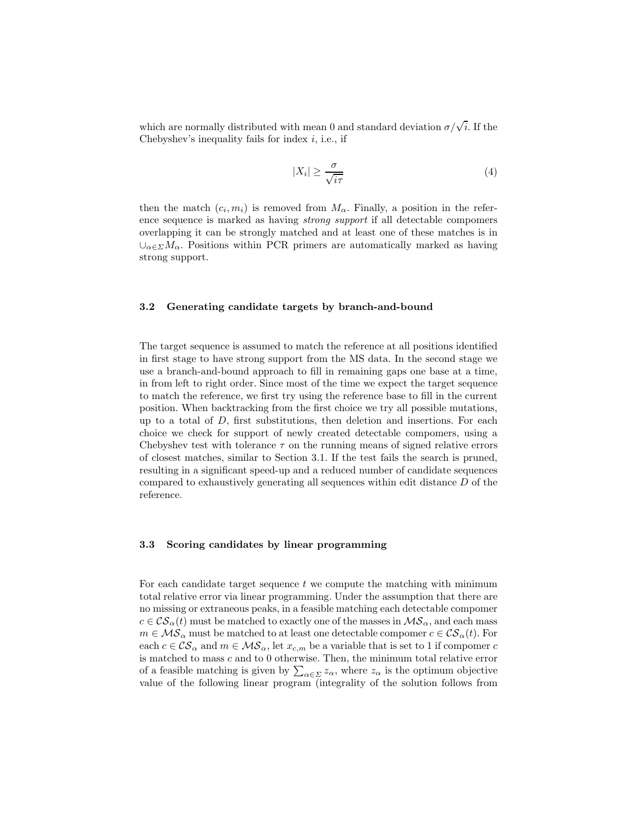which are normally distributed with mean 0 and standard deviation  $\sigma/\sqrt{i}$ . If the Chebyshev's inequality fails for index  $i$ , i.e., if

$$
|X_i| \ge \frac{\sigma}{\sqrt{i\tau}}\tag{4}
$$

then the match  $(c_i, m_i)$  is removed from  $M_\alpha$ . Finally, a position in the reference sequence is marked as having strong support if all detectable compomers overlapping it can be strongly matched and at least one of these matches is in  $\cup_{\alpha \in \Sigma} M_{\alpha}$ . Positions within PCR primers are automatically marked as having strong support.

#### 3.2 Generating candidate targets by branch-and-bound

The target sequence is assumed to match the reference at all positions identified in first stage to have strong support from the MS data. In the second stage we use a branch-and-bound approach to fill in remaining gaps one base at a time, in from left to right order. Since most of the time we expect the target sequence to match the reference, we first try using the reference base to fill in the current position. When backtracking from the first choice we try all possible mutations, up to a total of  $D$ , first substitutions, then deletion and insertions. For each choice we check for support of newly created detectable compomers, using a Chebyshev test with tolerance  $\tau$  on the running means of signed relative errors of closest matches, similar to Section 3.1. If the test fails the search is pruned, resulting in a significant speed-up and a reduced number of candidate sequences compared to exhaustively generating all sequences within edit distance D of the reference.

#### 3.3 Scoring candidates by linear programming

For each candidate target sequence  $t$  we compute the matching with minimum total relative error via linear programming. Under the assumption that there are no missing or extraneous peaks, in a feasible matching each detectable compomer  $c \in \mathcal{CS}_{\alpha}(t)$  must be matched to exactly one of the masses in  $\mathcal{MS}_{\alpha}$ , and each mass  $m \in \mathcal{MS}_{\alpha}$  must be matched to at least one detectable compomer  $c \in \mathcal{CS}_{\alpha}(t)$ . For each  $c \in \mathcal{CS}_{\alpha}$  and  $m \in \mathcal{MS}_{\alpha}$ , let  $x_{c,m}$  be a variable that is set to 1 if compomer c is matched to mass c and to 0 otherwise. Then, the minimum total relative error of a feasible matching is given by  $\sum_{\alpha \in \Sigma} z_{\alpha}$ , where  $z_{\alpha}$  is the optimum objective value of the following linear program (integrality of the solution follows from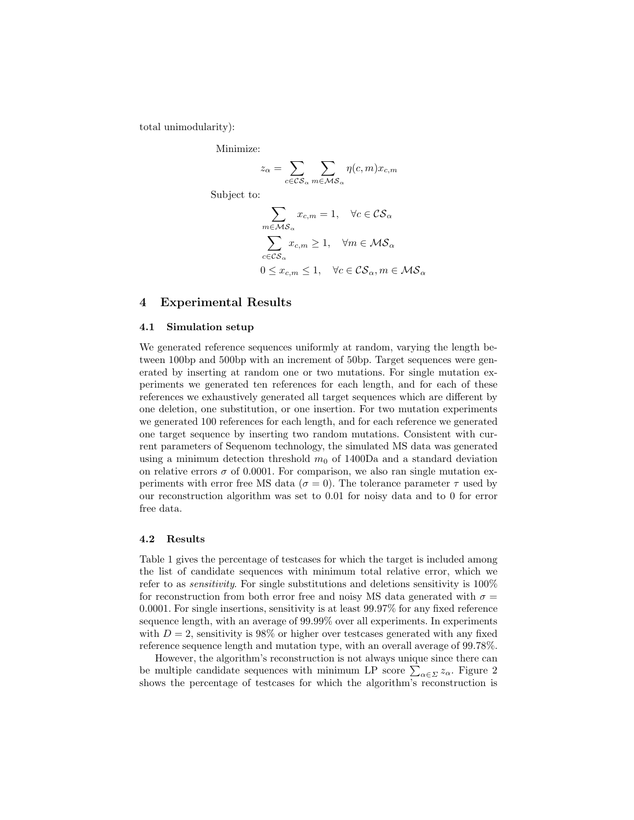total unimodularity):

Minimize:

$$
z_{\alpha} = \sum_{c \in \mathcal{CS}_{\alpha}} \sum_{m \in \mathcal{MS}_{\alpha}} \eta(c, m) x_{c, m}
$$

Subject to:

$$
\sum_{m \in \mathcal{MS}_{\alpha}} x_{c,m} = 1, \quad \forall c \in \mathcal{CS}_{\alpha}
$$

$$
\sum_{c \in \mathcal{CS}_{\alpha}} x_{c,m} \ge 1, \quad \forall m \in \mathcal{MS}_{\alpha}
$$

$$
0 \le x_{c,m} \le 1, \quad \forall c \in \mathcal{CS}_{\alpha}, m \in \mathcal{MS}_{\alpha}
$$

## 4 Experimental Results

#### 4.1 Simulation setup

We generated reference sequences uniformly at random, varying the length between 100bp and 500bp with an increment of 50bp. Target sequences were generated by inserting at random one or two mutations. For single mutation experiments we generated ten references for each length, and for each of these references we exhaustively generated all target sequences which are different by one deletion, one substitution, or one insertion. For two mutation experiments we generated 100 references for each length, and for each reference we generated one target sequence by inserting two random mutations. Consistent with current parameters of Sequenom technology, the simulated MS data was generated using a minimum detection threshold  $m_0$  of 1400Da and a standard deviation on relative errors  $\sigma$  of 0.0001. For comparison, we also ran single mutation experiments with error free MS data ( $\sigma = 0$ ). The tolerance parameter  $\tau$  used by our reconstruction algorithm was set to 0.01 for noisy data and to 0 for error free data.

#### 4.2 Results

Table 1 gives the percentage of testcases for which the target is included among the list of candidate sequences with minimum total relative error, which we refer to as sensitivity. For single substitutions and deletions sensitivity is 100% for reconstruction from both error free and noisy MS data generated with  $\sigma =$ 0.0001. For single insertions, sensitivity is at least 99.97% for any fixed reference sequence length, with an average of 99.99% over all experiments. In experiments with  $D = 2$ , sensitivity is 98% or higher over testcases generated with any fixed reference sequence length and mutation type, with an overall average of 99.78%.

However, the algorithm's reconstruction is not always unique since there can be multiple candidate sequences with minimum LP score  $\sum_{\alpha \in \Sigma} z_{\alpha}$ . Figure 2 shows the percentage of testcases for which the algorithm's reconstruction is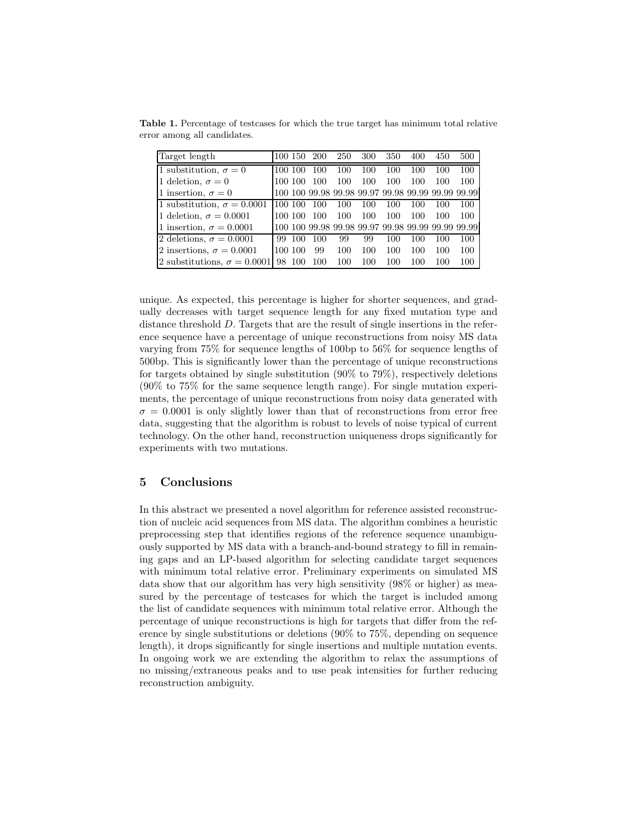| Target length                      |      | 100 150 | <b>200</b> | 250 | 300 | 350 | 400 | 450 | 500                                               |
|------------------------------------|------|---------|------------|-----|-----|-----|-----|-----|---------------------------------------------------|
| 1 substitution, $\sigma = 0$       |      |         | 100        | 100 | 100 | 100 | 100 | 100 | 100                                               |
| 1 deletion, $\sigma = 0$           |      | 100 100 | 100        | 100 | 100 | 100 | 100 | 100 | 100                                               |
| 1 insertion, $\sigma = 0$          |      |         |            |     |     |     |     |     | 100 100 99.98 99.98 99.97 99.98 99.99 99.99 99.99 |
| 1 substitution, $\sigma = 0.0001$  | 100. | 100     | 100        | 100 | 100 | 100 | 100 | 100 | 100                                               |
| 1 deletion, $\sigma = 0.0001$      | 100. | -100    | 100        | 100 | 100 | 100 | 100 | 100 | 100                                               |
| 1 insertion, $\sigma = 0.0001$     |      |         |            |     |     |     |     |     | 100 100 99.98 99.98 99.97 99.98 99.99 99.99 99.99 |
| 2 deletions, $\sigma = 0.0001$     | 99   | -100    | 100        | 99  | 99  | 100 | 100 | 100 | 100                                               |
| 2 insertions, $\sigma = 0.0001$    |      | 100 100 | 99         | 100 | 100 | 100 | 100 | 100 | 100                                               |
| 2 substitutions, $\sigma = 0.0001$ | 98   | 100     | 100        | 100 | 100 | 100 | 100 | 100 | 100                                               |

Table 1. Percentage of testcases for which the true target has minimum total relative error among all candidates.

unique. As expected, this percentage is higher for shorter sequences, and gradually decreases with target sequence length for any fixed mutation type and distance threshold D. Targets that are the result of single insertions in the reference sequence have a percentage of unique reconstructions from noisy MS data varying from 75% for sequence lengths of 100bp to 56% for sequence lengths of 500bp. This is significantly lower than the percentage of unique reconstructions for targets obtained by single substitution (90% to 79%), respectively deletions (90% to 75% for the same sequence length range). For single mutation experiments, the percentage of unique reconstructions from noisy data generated with  $\sigma = 0.0001$  is only slightly lower than that of reconstructions from error free data, suggesting that the algorithm is robust to levels of noise typical of current technology. On the other hand, reconstruction uniqueness drops significantly for experiments with two mutations.

### 5 Conclusions

In this abstract we presented a novel algorithm for reference assisted reconstruction of nucleic acid sequences from MS data. The algorithm combines a heuristic preprocessing step that identifies regions of the reference sequence unambiguously supported by MS data with a branch-and-bound strategy to fill in remaining gaps and an LP-based algorithm for selecting candidate target sequences with minimum total relative error. Preliminary experiments on simulated MS data show that our algorithm has very high sensitivity (98% or higher) as measured by the percentage of testcases for which the target is included among the list of candidate sequences with minimum total relative error. Although the percentage of unique reconstructions is high for targets that differ from the reference by single substitutions or deletions (90% to 75%, depending on sequence length), it drops significantly for single insertions and multiple mutation events. In ongoing work we are extending the algorithm to relax the assumptions of no missing/extraneous peaks and to use peak intensities for further reducing reconstruction ambiguity.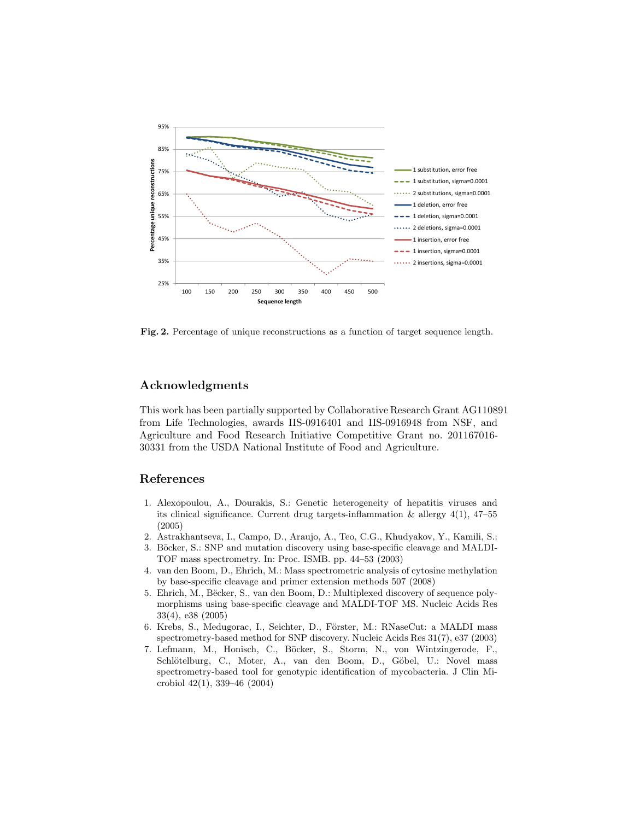

Fig. 2. Percentage of unique reconstructions as a function of target sequence length.

## Acknowledgments

This work has been partially supported by Collaborative Research Grant AG110891 from Life Technologies, awards IIS-0916401 and IIS-0916948 from NSF, and Agriculture and Food Research Initiative Competitive Grant no. 201167016- 30331 from the USDA National Institute of Food and Agriculture.

## References

- 1. Alexopoulou, A., Dourakis, S.: Genetic heterogeneity of hepatitis viruses and its clinical significance. Current drug targets-inflammation  $\&$  allergy 4(1), 47–55 (2005)
- 2. Astrakhantseva, I., Campo, D., Araujo, A., Teo, C.G., Khudyakov, Y., Kamili, S.:
- 3. Böcker, S.: SNP and mutation discovery using base-specific cleavage and MALDI-TOF mass spectrometry. In: Proc. ISMB. pp. 44–53 (2003)
- 4. van den Boom, D., Ehrich, M.: Mass spectrometric analysis of cytosine methylation by base-specific cleavage and primer extension methods 507 (2008)
- 5. Ehrich, M., Bëcker, S., van den Boom, D.: Multiplexed discovery of sequence polymorphisms using base-specific cleavage and MALDI-TOF MS. Nucleic Acids Res 33(4), e38 (2005)
- 6. Krebs, S., Medugorac, I., Seichter, D., Förster, M.: RNaseCut: a MALDI mass spectrometry-based method for SNP discovery. Nucleic Acids Res 31(7), e37 (2003)
- 7. Lefmann, M., Honisch, C., Böcker, S., Storm, N., von Wintzingerode, F., Schlötelburg, C., Moter, A., van den Boom, D., Göbel, U.: Novel mass spectrometry-based tool for genotypic identification of mycobacteria. J Clin Microbiol 42(1), 339–46 (2004)